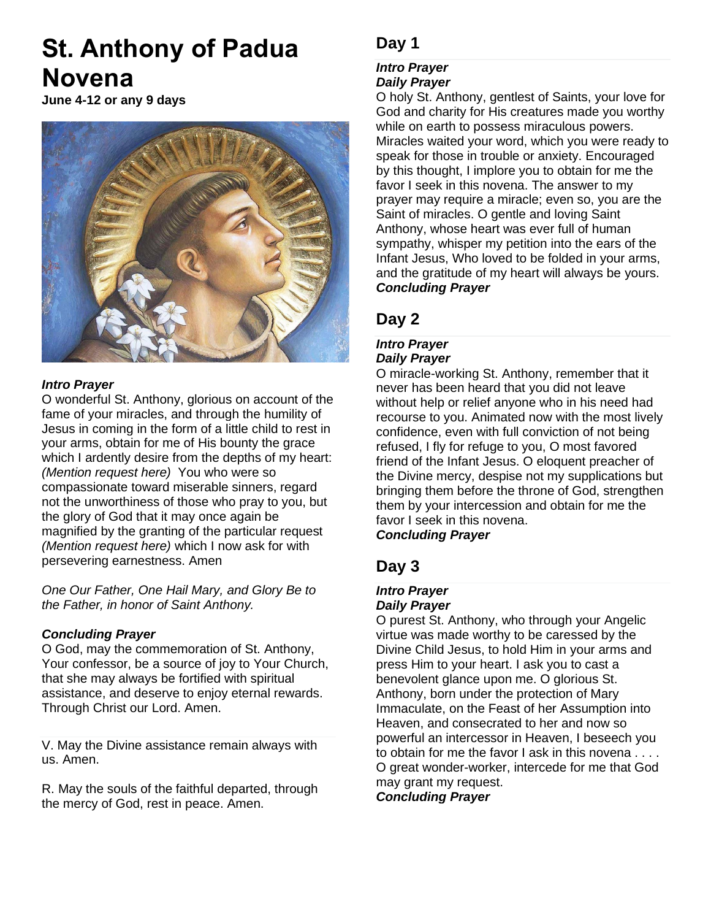# **St. Anthony of Padua Novena**

**June 4-12 or any 9 days**



### *Intro Prayer*

O wonderful St. Anthony, glorious on account of the fame of your miracles, and through the humility of Jesus in coming in the form of a little child to rest in your arms, obtain for me of His bounty the grace which I ardently desire from the depths of my heart: *(Mention request here)* You who were so compassionate toward miserable sinners, regard not the unworthiness of those who pray to you, but the glory of God that it may once again be magnified by the granting of the particular request *(Mention request here)* which I now ask for with persevering earnestness. Amen

*One Our Father, One Hail Mary, and Glory Be to the Father, in honor of Saint Anthony.*

### *Concluding Prayer*

O God, may the commemoration of St. Anthony, Your confessor, be a source of joy to Your Church, that she may always be fortified with spiritual assistance, and deserve to enjoy eternal rewards. Through Christ our Lord. Amen.

V. May the Divine assistance remain always with us. Amen.

R. May the souls of the faithful departed, through the mercy of God, rest in peace. Amen.

# **Day 1**

### *Intro Prayer*

### *Daily Prayer*

O holy St. Anthony, gentlest of Saints, your love for God and charity for His creatures made you worthy while on earth to possess miraculous powers. Miracles waited your word, which you were ready to speak for those in trouble or anxiety. Encouraged by this thought, I implore you to obtain for me the favor I seek in this novena. The answer to my prayer may require a miracle; even so, you are the Saint of miracles. O gentle and loving Saint Anthony, whose heart was ever full of human sympathy, whisper my petition into the ears of the Infant Jesus, Who loved to be folded in your arms, and the gratitude of my heart will always be yours. *Concluding Prayer*

### **Day 2**

### *Intro Prayer Daily Prayer*

O miracle-working St. Anthony, remember that it never has been heard that you did not leave without help or relief anyone who in his need had recourse to you. Animated now with the most lively confidence, even with full conviction of not being refused, I fly for refuge to you, O most favored friend of the Infant Jesus. O eloquent preacher of the Divine mercy, despise not my supplications but bringing them before the throne of God, strengthen them by your intercession and obtain for me the favor I seek in this novena. *Concluding Prayer*

# **Day 3**

#### *Intro Prayer Daily Prayer*

O purest St. Anthony, who through your Angelic virtue was made worthy to be caressed by the Divine Child Jesus, to hold Him in your arms and press Him to your heart. I ask you to cast a benevolent glance upon me. O glorious St. Anthony, born under the protection of Mary Immaculate, on the Feast of her Assumption into Heaven, and consecrated to her and now so powerful an intercessor in Heaven, I beseech you to obtain for me the favor I ask in this novena . . . . O great wonder-worker, intercede for me that God may grant my request.

*Concluding Prayer*